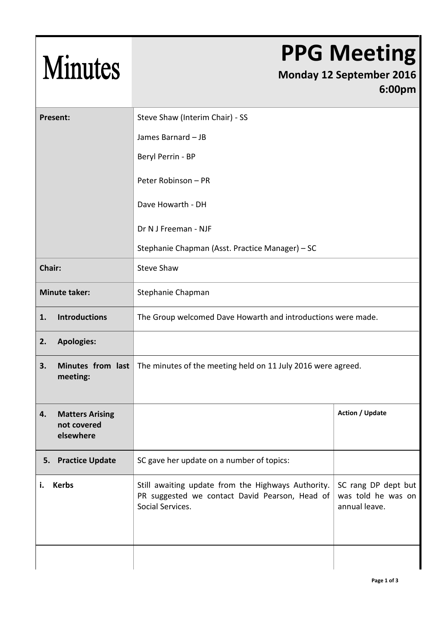## Minutes

## **PPG Meeting**

## **Monday 12 September 2016 6:00pm**

| Present:                       |                        | Steve Shaw (Interim Chair) - SS                                                                                          |                                                            |  |
|--------------------------------|------------------------|--------------------------------------------------------------------------------------------------------------------------|------------------------------------------------------------|--|
|                                |                        | James Barnard - JB                                                                                                       |                                                            |  |
|                                |                        | Beryl Perrin - BP                                                                                                        |                                                            |  |
|                                |                        | Peter Robinson - PR                                                                                                      |                                                            |  |
|                                |                        | Dave Howarth - DH                                                                                                        |                                                            |  |
|                                |                        | Dr N J Freeman - NJF                                                                                                     |                                                            |  |
|                                |                        | Stephanie Chapman (Asst. Practice Manager) - SC                                                                          |                                                            |  |
| Chair:                         |                        | <b>Steve Shaw</b>                                                                                                        |                                                            |  |
| <b>Minute taker:</b>           |                        | Stephanie Chapman                                                                                                        |                                                            |  |
| 1.                             | <b>Introductions</b>   | The Group welcomed Dave Howarth and introductions were made.                                                             |                                                            |  |
| <b>Apologies:</b><br>2.        |                        |                                                                                                                          |                                                            |  |
| 3.<br>meeting:                 | Minutes from last      | The minutes of the meeting held on 11 July 2016 were agreed.                                                             |                                                            |  |
| 4.<br>not covered<br>elsewhere | <b>Matters Arising</b> |                                                                                                                          | <b>Action / Update</b>                                     |  |
| 5. Practice Update             |                        | SC gave her update on a number of topics:                                                                                |                                                            |  |
| <b>Kerbs</b><br>i.             |                        | Still awaiting update from the Highways Authority.<br>PR suggested we contact David Pearson, Head of<br>Social Services. | SC rang DP dept but<br>was told he was on<br>annual leave. |  |
|                                |                        |                                                                                                                          |                                                            |  |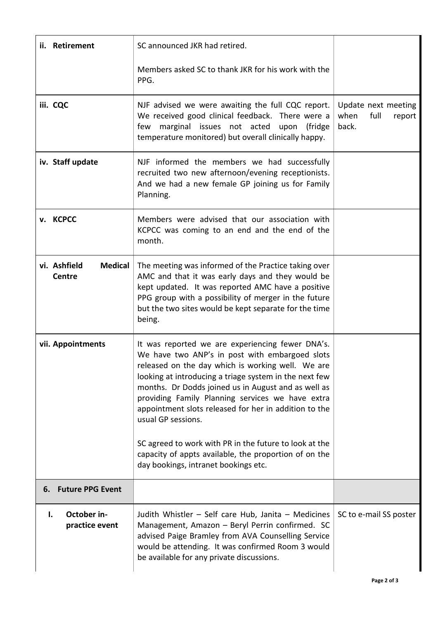| ii. Retirement                                  | SC announced JKR had retired.                                                                                                                                                                                                                                                                                                                                                                                                                                                                                                                                          |                                                        |
|-------------------------------------------------|------------------------------------------------------------------------------------------------------------------------------------------------------------------------------------------------------------------------------------------------------------------------------------------------------------------------------------------------------------------------------------------------------------------------------------------------------------------------------------------------------------------------------------------------------------------------|--------------------------------------------------------|
|                                                 | Members asked SC to thank JKR for his work with the<br>PPG.                                                                                                                                                                                                                                                                                                                                                                                                                                                                                                            |                                                        |
| iii. CQC                                        | NJF advised we were awaiting the full CQC report.<br>We received good clinical feedback. There were a<br>marginal issues not acted<br>upon<br>(fridge<br>few<br>temperature monitored) but overall clinically happy.                                                                                                                                                                                                                                                                                                                                                   | Update next meeting<br>when<br>full<br>report<br>back. |
| iv. Staff update                                | NJF informed the members we had successfully<br>recruited two new afternoon/evening receptionists.<br>And we had a new female GP joining us for Family<br>Planning.                                                                                                                                                                                                                                                                                                                                                                                                    |                                                        |
| v. KCPCC                                        | Members were advised that our association with<br>KCPCC was coming to an end and the end of the<br>month.                                                                                                                                                                                                                                                                                                                                                                                                                                                              |                                                        |
| vi. Ashfield<br><b>Medical</b><br><b>Centre</b> | The meeting was informed of the Practice taking over<br>AMC and that it was early days and they would be<br>kept updated. It was reported AMC have a positive<br>PPG group with a possibility of merger in the future<br>but the two sites would be kept separate for the time<br>being.                                                                                                                                                                                                                                                                               |                                                        |
| vii. Appointments                               | It was reported we are experiencing fewer DNA's.<br>We have two ANP's in post with embargoed slots<br>released on the day which is working well. We are<br>looking at introducing a triage system in the next few<br>months. Dr Dodds joined us in August and as well as<br>providing Family Planning services we have extra<br>appointment slots released for her in addition to the<br>usual GP sessions.<br>SC agreed to work with PR in the future to look at the<br>capacity of appts available, the proportion of on the<br>day bookings, intranet bookings etc. |                                                        |
| 6. Future PPG Event                             |                                                                                                                                                                                                                                                                                                                                                                                                                                                                                                                                                                        |                                                        |
| October in-<br>ı.<br>practice event             | Judith Whistler - Self care Hub, Janita - Medicines<br>Management, Amazon - Beryl Perrin confirmed. SC<br>advised Paige Bramley from AVA Counselling Service<br>would be attending. It was confirmed Room 3 would<br>be available for any private discussions.                                                                                                                                                                                                                                                                                                         | SC to e-mail SS poster                                 |